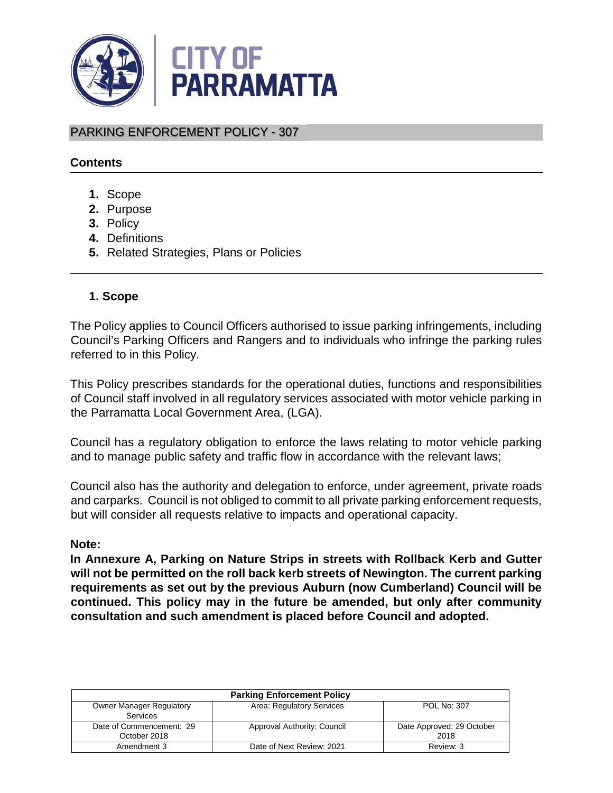

PARKING ENFORCEMENT POLICY - 307

## **Contents**

- **1.** Scope
- **2.** Purpose
- **3.** Policy
- **4.** Definitions
- **5.** Related Strategies, Plans or Policies

## **1. Scope**

The Policy applies to Council Officers authorised to issue parking infringements, including Council's Parking Officers and Rangers and to individuals who infringe the parking rules referred to in this Policy.

This Policy prescribes standards for the operational duties, functions and responsibilities of Council staff involved in all regulatory services associated with motor vehicle parking in the Parramatta Local Government Area, (LGA).

Council has a regulatory obligation to enforce the laws relating to motor vehicle parking and to manage public safety and traffic flow in accordance with the relevant laws;

Council also has the authority and delegation to enforce, under agreement, private roads and carparks. Council is not obliged to commit to all private parking enforcement requests, but will consider all requests relative to impacts and operational capacity.

### **Note:**

**In Annexure A, Parking on Nature Strips in streets with Rollback Kerb and Gutter will not be permitted on the roll back kerb streets of Newington. The current parking requirements as set out by the previous Auburn (now Cumberland) Council will be continued. This policy may in the future be amended, but only after community consultation and such amendment is placed before Council and adopted.** 

| <b>Parking Enforcement Policy</b>                  |                             |                                   |  |
|----------------------------------------------------|-----------------------------|-----------------------------------|--|
| <b>Owner Manager Regulatory</b><br><b>Services</b> | Area: Regulatory Services   | POL No: 307                       |  |
| Date of Commencement: 29<br>October 2018           | Approval Authority: Council | Date Approved: 29 October<br>2018 |  |
| Amendment 3                                        | Date of Next Review: 2021   | Review: 3                         |  |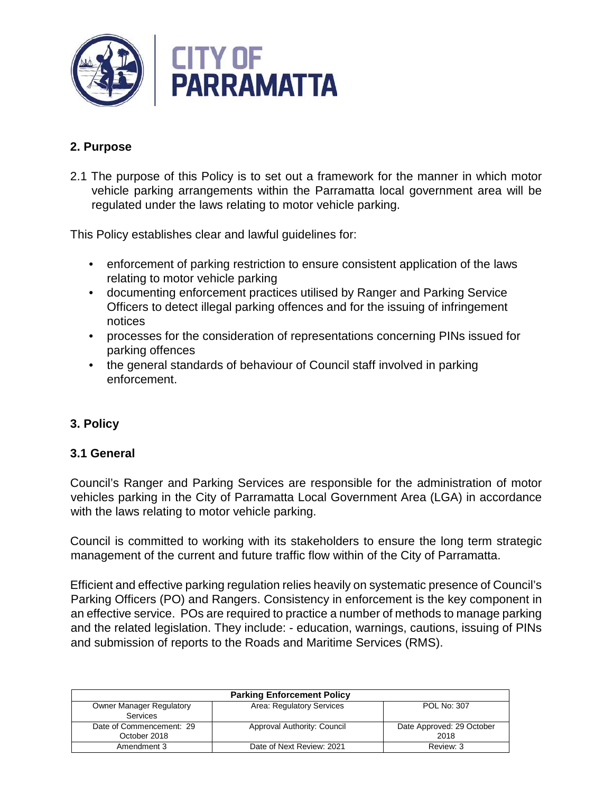

### **2. Purpose**

2.1 The purpose of this Policy is to set out a framework for the manner in which motor vehicle parking arrangements within the Parramatta local government area will be regulated under the laws relating to motor vehicle parking.

This Policy establishes clear and lawful guidelines for:

- enforcement of parking restriction to ensure consistent application of the laws relating to motor vehicle parking
- documenting enforcement practices utilised by Ranger and Parking Service Officers to detect illegal parking offences and for the issuing of infringement notices
- processes for the consideration of representations concerning PINs issued for parking offences
- the general standards of behaviour of Council staff involved in parking enforcement.

## **3. Policy**

### **3.1 General**

Council's Ranger and Parking Services are responsible for the administration of motor vehicles parking in the City of Parramatta Local Government Area (LGA) in accordance with the laws relating to motor vehicle parking.

Council is committed to working with its stakeholders to ensure the long term strategic management of the current and future traffic flow within of the City of Parramatta.

Efficient and effective parking regulation relies heavily on systematic presence of Council's Parking Officers (PO) and Rangers. Consistency in enforcement is the key component in an effective service. POs are required to practice a number of methods to manage parking and the related legislation. They include: - education, warnings, cautions, issuing of PINs and submission of reports to the Roads and Maritime Services (RMS).

| <b>Parking Enforcement Policy</b>                  |                             |                                   |  |
|----------------------------------------------------|-----------------------------|-----------------------------------|--|
| <b>Owner Manager Regulatory</b><br><b>Services</b> | Area: Regulatory Services   | POL No: 307                       |  |
| Date of Commencement: 29<br>October 2018           | Approval Authority: Council | Date Approved: 29 October<br>2018 |  |
| Amendment 3                                        | Date of Next Review: 2021   | Review: 3                         |  |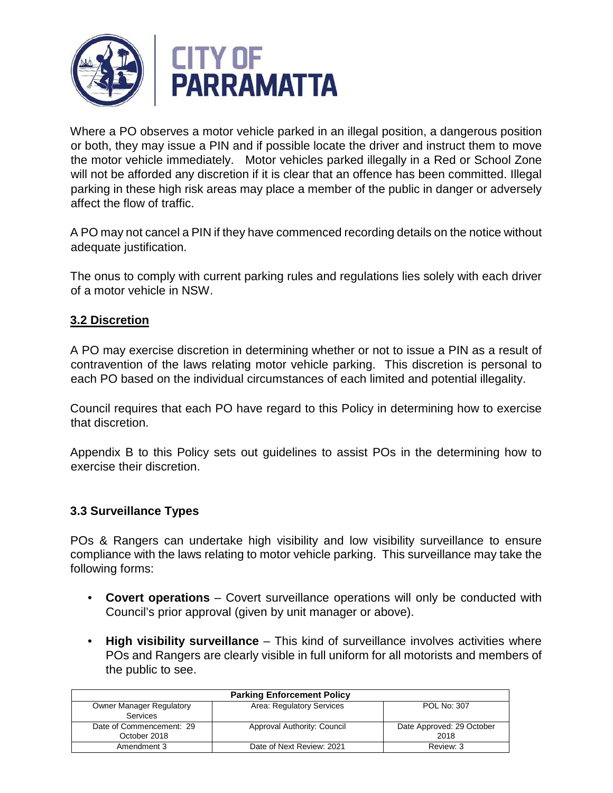

Where a PO observes a motor vehicle parked in an illegal position, a dangerous position or both, they may issue a PIN and if possible locate the driver and instruct them to move the motor vehicle immediately. Motor vehicles parked illegally in a Red or School Zone will not be afforded any discretion if it is clear that an offence has been committed. Illegal parking in these high risk areas may place a member of the public in danger or adversely affect the flow of traffic.

A PO may not cancel a PIN if they have commenced recording details on the notice without adequate justification.

The onus to comply with current parking rules and regulations lies solely with each driver of a motor vehicle in NSW.

### **3.2 Discretion**

A PO may exercise discretion in determining whether or not to issue a PIN as a result of contravention of the laws relating motor vehicle parking. This discretion is personal to each PO based on the individual circumstances of each limited and potential illegality.

Council requires that each PO have regard to this Policy in determining how to exercise that discretion.

Appendix B to this Policy sets out guidelines to assist POs in the determining how to exercise their discretion.

### **3.3 Surveillance Types**

POs & Rangers can undertake high visibility and low visibility surveillance to ensure compliance with the laws relating to motor vehicle parking. This surveillance may take the following forms:

- **Covert operations** Covert surveillance operations will only be conducted with Council's prior approval (given by unit manager or above).
- **High visibility surveillance** This kind of surveillance involves activities where POs and Rangers are clearly visible in full uniform for all motorists and members of the public to see.

| <b>Parking Enforcement Policy</b> |                             |                           |  |
|-----------------------------------|-----------------------------|---------------------------|--|
| <b>Owner Manager Regulatory</b>   | Area: Regulatory Services   | POL No: 307               |  |
| Services                          |                             |                           |  |
| Date of Commencement: 29          | Approval Authority: Council | Date Approved: 29 October |  |
| October 2018                      |                             | 2018                      |  |
| Amendment 3                       | Date of Next Review: 2021   | Review: 3                 |  |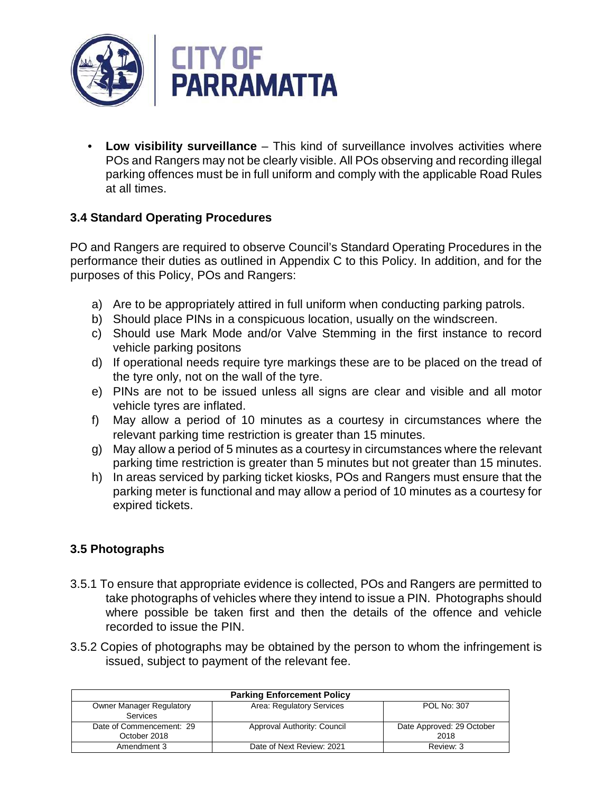

**Low visibility surveillance** – This kind of surveillance involves activities where POs and Rangers may not be clearly visible. All POs observing and recording illegal parking offences must be in full uniform and comply with the applicable Road Rules at all times.

# **3.4 Standard Operating Procedures**

PO and Rangers are required to observe Council's Standard Operating Procedures in the performance their duties as outlined in Appendix C to this Policy. In addition, and for the purposes of this Policy, POs and Rangers:

- a) Are to be appropriately attired in full uniform when conducting parking patrols.
- b) Should place PINs in a conspicuous location, usually on the windscreen.
- c) Should use Mark Mode and/or Valve Stemming in the first instance to record vehicle parking positons
- d) If operational needs require tyre markings these are to be placed on the tread of the tyre only, not on the wall of the tyre.
- e) PINs are not to be issued unless all signs are clear and visible and all motor vehicle tyres are inflated.
- f) May allow a period of 10 minutes as a courtesy in circumstances where the relevant parking time restriction is greater than 15 minutes.
- g) May allow a period of 5 minutes as a courtesy in circumstances where the relevant parking time restriction is greater than 5 minutes but not greater than 15 minutes.
- h) In areas serviced by parking ticket kiosks, POs and Rangers must ensure that the parking meter is functional and may allow a period of 10 minutes as a courtesy for expired tickets.

# **3.5 Photographs**

- 3.5.1 To ensure that appropriate evidence is collected, POs and Rangers are permitted to take photographs of vehicles where they intend to issue a PIN. Photographs should where possible be taken first and then the details of the offence and vehicle recorded to issue the PIN.
- 3.5.2 Copies of photographs may be obtained by the person to whom the infringement is issued, subject to payment of the relevant fee.

| <b>Parking Enforcement Policy</b>                  |                             |                                   |  |
|----------------------------------------------------|-----------------------------|-----------------------------------|--|
| <b>Owner Manager Regulatory</b><br><b>Services</b> | Area: Regulatory Services   | POL No: 307                       |  |
| Date of Commencement: 29<br>October 2018           | Approval Authority: Council | Date Approved: 29 October<br>2018 |  |
| Amendment 3                                        | Date of Next Review: 2021   | Review: 3                         |  |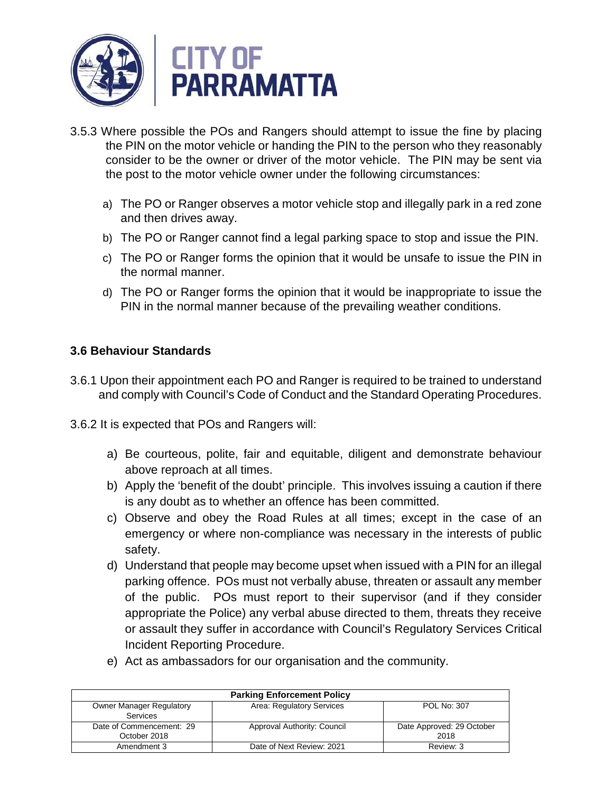

- 3.5.3 Where possible the POs and Rangers should attempt to issue the fine by placing the PIN on the motor vehicle or handing the PIN to the person who they reasonably consider to be the owner or driver of the motor vehicle. The PIN may be sent via the post to the motor vehicle owner under the following circumstances:
	- a) The PO or Ranger observes a motor vehicle stop and illegally park in a red zone and then drives away.
	- b) The PO or Ranger cannot find a legal parking space to stop and issue the PIN.
	- c) The PO or Ranger forms the opinion that it would be unsafe to issue the PIN in the normal manner.
	- d) The PO or Ranger forms the opinion that it would be inappropriate to issue the PIN in the normal manner because of the prevailing weather conditions.

## **3.6 Behaviour Standards**

- 3.6.1 Upon their appointment each PO and Ranger is required to be trained to understand and comply with Council's Code of Conduct and the Standard Operating Procedures.
- 3.6.2 It is expected that POs and Rangers will:
	- a) Be courteous, polite, fair and equitable, diligent and demonstrate behaviour above reproach at all times.
	- b) Apply the 'benefit of the doubt' principle. This involves issuing a caution if there is any doubt as to whether an offence has been committed.
	- c) Observe and obey the Road Rules at all times; except in the case of an emergency or where non-compliance was necessary in the interests of public safety.
	- d) Understand that people may become upset when issued with a PIN for an illegal parking offence. POs must not verbally abuse, threaten or assault any member of the public. POs must report to their supervisor (and if they consider appropriate the Police) any verbal abuse directed to them, threats they receive or assault they suffer in accordance with Council's Regulatory Services Critical Incident Reporting Procedure.
	- e) Act as ambassadors for our organisation and the community.

| <b>Parking Enforcement Policy</b> |                             |                           |  |
|-----------------------------------|-----------------------------|---------------------------|--|
| <b>Owner Manager Regulatory</b>   | Area: Regulatory Services   | POL No: 307               |  |
| Services                          |                             |                           |  |
| Date of Commencement: 29          | Approval Authority: Council | Date Approved: 29 October |  |
| October 2018                      |                             | 2018                      |  |
| Amendment 3                       | Date of Next Review: 2021   | Review: 3                 |  |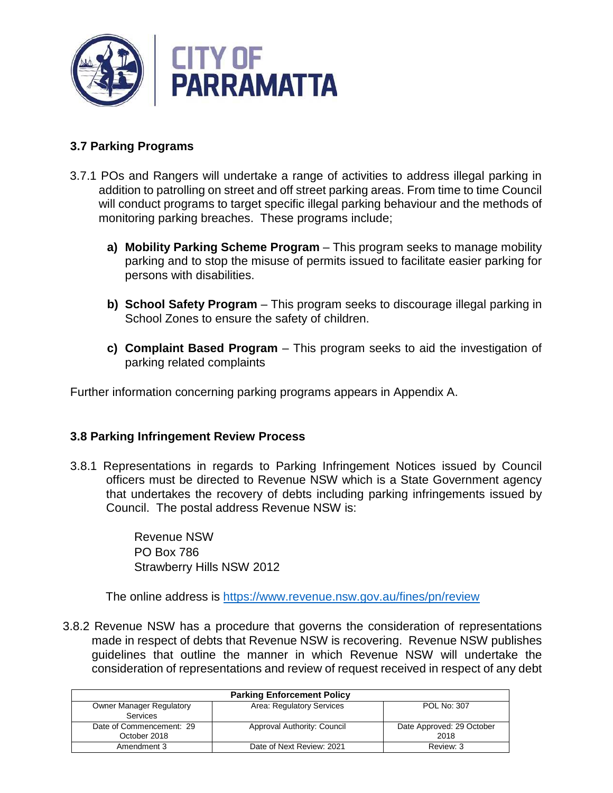

# **3.7 Parking Programs**

- 3.7.1 POs and Rangers will undertake a range of activities to address illegal parking in addition to patrolling on street and off street parking areas. From time to time Council will conduct programs to target specific illegal parking behaviour and the methods of monitoring parking breaches. These programs include;
	- **a) Mobility Parking Scheme Program**  This program seeks to manage mobility parking and to stop the misuse of permits issued to facilitate easier parking for persons with disabilities.
	- **b) School Safety Program** This program seeks to discourage illegal parking in School Zones to ensure the safety of children.
	- **c) Complaint Based Program** This program seeks to aid the investigation of parking related complaints

Further information concerning parking programs appears in Appendix A.

## **3.8 Parking Infringement Review Process**

3.8.1 Representations in regards to Parking Infringement Notices issued by Council officers must be directed to Revenue NSW which is a State Government agency that undertakes the recovery of debts including parking infringements issued by Council. The postal address Revenue NSW is:

> Revenue NSW PO Box 786 Strawberry Hills NSW 2012

The online address is https://www.revenue.nsw.gov.au/fines/pn/review

3.8.2 Revenue NSW has a procedure that governs the consideration of representations made in respect of debts that Revenue NSW is recovering. Revenue NSW publishes guidelines that outline the manner in which Revenue NSW will undertake the consideration of representations and review of request received in respect of any debt

| <b>Parking Enforcement Policy</b>                  |                             |                                   |  |
|----------------------------------------------------|-----------------------------|-----------------------------------|--|
| <b>Owner Manager Regulatory</b><br><b>Services</b> | Area: Regulatory Services   | POL No: 307                       |  |
| Date of Commencement: 29<br>October 2018           | Approval Authority: Council | Date Approved: 29 October<br>2018 |  |
| Amendment 3                                        | Date of Next Review: 2021   | Review: 3                         |  |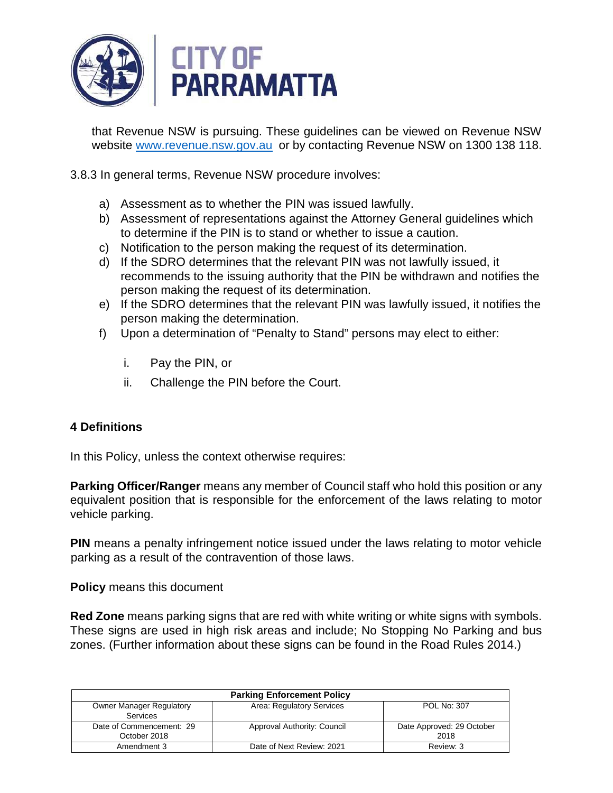

that Revenue NSW is pursuing. These guidelines can be viewed on Revenue NSW website www.revenue.nsw.gov.au or by contacting Revenue NSW on 1300 138 118.

3.8.3 In general terms, Revenue NSW procedure involves:

- a) Assessment as to whether the PIN was issued lawfully.
- b) Assessment of representations against the Attorney General guidelines which to determine if the PIN is to stand or whether to issue a caution.
- c) Notification to the person making the request of its determination.
- d) If the SDRO determines that the relevant PIN was not lawfully issued, it recommends to the issuing authority that the PIN be withdrawn and notifies the person making the request of its determination.
- e) If the SDRO determines that the relevant PIN was lawfully issued, it notifies the person making the determination.
- f) Upon a determination of "Penalty to Stand" persons may elect to either:
	- i. Pay the PIN, or
	- ii. Challenge the PIN before the Court.

## **4 Definitions**

In this Policy, unless the context otherwise requires:

**Parking Officer/Ranger** means any member of Council staff who hold this position or any equivalent position that is responsible for the enforcement of the laws relating to motor vehicle parking.

**PIN** means a penalty infringement notice issued under the laws relating to motor vehicle parking as a result of the contravention of those laws.

**Policy** means this document

**Red Zone** means parking signs that are red with white writing or white signs with symbols. These signs are used in high risk areas and include; No Stopping No Parking and bus zones. (Further information about these signs can be found in the Road Rules 2014.)

| <b>Parking Enforcement Policy</b>                  |                             |                                   |  |
|----------------------------------------------------|-----------------------------|-----------------------------------|--|
| <b>Owner Manager Regulatory</b><br><b>Services</b> | Area: Regulatory Services   | POL No: 307                       |  |
| Date of Commencement: 29<br>October 2018           | Approval Authority: Council | Date Approved: 29 October<br>2018 |  |
| Amendment 3                                        | Date of Next Review: 2021   | Review: 3                         |  |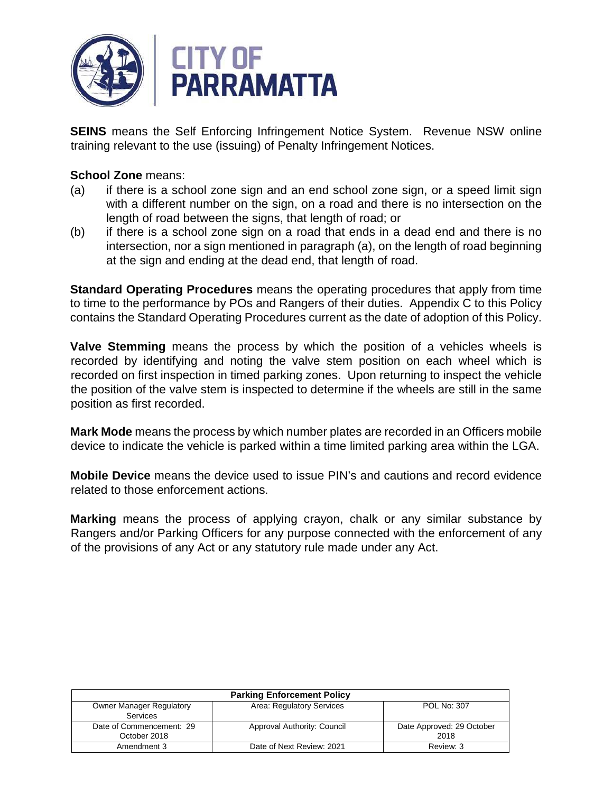

**SEINS** means the Self Enforcing Infringement Notice System. Revenue NSW online training relevant to the use (issuing) of Penalty Infringement Notices.

### **School Zone** means:

- (a) if there is a school zone sign and an end school zone sign, or a speed limit sign with a different number on the sign, on a road and there is no intersection on the length of road between the signs, that length of road; or
- (b) if there is a school zone sign on a road that ends in a dead end and there is no intersection, nor a sign mentioned in paragraph (a), on the length of road beginning at the sign and ending at the dead end, that length of road.

**Standard Operating Procedures** means the operating procedures that apply from time to time to the performance by POs and Rangers of their duties. Appendix C to this Policy contains the Standard Operating Procedures current as the date of adoption of this Policy.

**Valve Stemming** means the process by which the position of a vehicles wheels is recorded by identifying and noting the valve stem position on each wheel which is recorded on first inspection in timed parking zones. Upon returning to inspect the vehicle the position of the valve stem is inspected to determine if the wheels are still in the same position as first recorded.

**Mark Mode** means the process by which number plates are recorded in an Officers mobile device to indicate the vehicle is parked within a time limited parking area within the LGA.

**Mobile Device** means the device used to issue PIN's and cautions and record evidence related to those enforcement actions.

**Marking** means the process of applying crayon, chalk or any similar substance by Rangers and/or Parking Officers for any purpose connected with the enforcement of any of the provisions of any Act or any statutory rule made under any Act.

| <b>Parking Enforcement Policy</b> |                             |                           |  |
|-----------------------------------|-----------------------------|---------------------------|--|
| <b>Owner Manager Regulatory</b>   | Area: Regulatory Services   | POL No: 307               |  |
| Services                          |                             |                           |  |
| Date of Commencement: 29          | Approval Authority: Council | Date Approved: 29 October |  |
| October 2018                      |                             | 2018                      |  |
| Amendment 3                       | Date of Next Review: 2021   | Review: 3                 |  |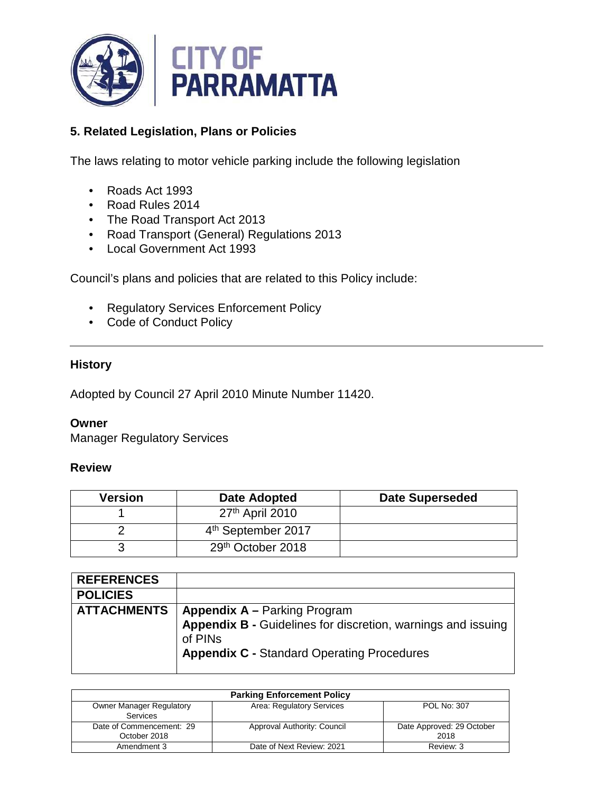

# **5. Related Legislation, Plans or Policies**

The laws relating to motor vehicle parking include the following legislation

- Roads Act 1993
- Road Rules 2014
- The Road Transport Act 2013
- Road Transport (General) Regulations 2013
- Local Government Act 1993

Council's plans and policies that are related to this Policy include:

- Regulatory Services Enforcement Policy
- Code of Conduct Policy

## **History**

Adopted by Council 27 April 2010 Minute Number 11420.

#### **Owner**

Manager Regulatory Services

#### **Review**

| <b>Version</b> | Date Adopted                   | <b>Date Superseded</b> |
|----------------|--------------------------------|------------------------|
|                | 27 <sup>th</sup> April 2010    |                        |
|                | 4 <sup>th</sup> September 2017 |                        |
|                | 29th October 2018              |                        |

| <b>REFERENCES</b>  |                                                                         |
|--------------------|-------------------------------------------------------------------------|
| <b>POLICIES</b>    |                                                                         |
| <b>ATTACHMENTS</b> | <b>Appendix A - Parking Program</b>                                     |
|                    | Appendix B - Guidelines for discretion, warnings and issuing<br>of PINs |
|                    | <b>Appendix C - Standard Operating Procedures</b>                       |

| <b>Parking Enforcement Policy</b> |                             |                           |  |
|-----------------------------------|-----------------------------|---------------------------|--|
| <b>Owner Manager Regulatory</b>   | Area: Regulatory Services   | POL No: 307               |  |
| <b>Services</b>                   |                             |                           |  |
| Date of Commencement: 29          | Approval Authority: Council | Date Approved: 29 October |  |
| October 2018                      |                             | 2018                      |  |
| Amendment 3                       | Date of Next Review: 2021   | Review: 3                 |  |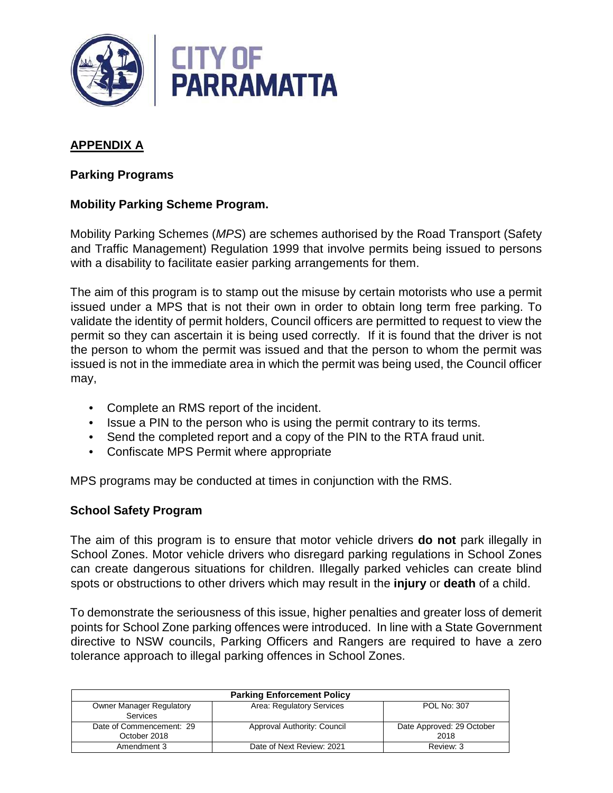

# **APPENDIX A**

### **Parking Programs**

### **Mobility Parking Scheme Program.**

Mobility Parking Schemes (MPS) are schemes authorised by the Road Transport (Safety and Traffic Management) Regulation 1999 that involve permits being issued to persons with a disability to facilitate easier parking arrangements for them.

The aim of this program is to stamp out the misuse by certain motorists who use a permit issued under a MPS that is not their own in order to obtain long term free parking. To validate the identity of permit holders, Council officers are permitted to request to view the permit so they can ascertain it is being used correctly. If it is found that the driver is not the person to whom the permit was issued and that the person to whom the permit was issued is not in the immediate area in which the permit was being used, the Council officer may,

- Complete an RMS report of the incident.
- Issue a PIN to the person who is using the permit contrary to its terms.
- Send the completed report and a copy of the PIN to the RTA fraud unit.
- Confiscate MPS Permit where appropriate

MPS programs may be conducted at times in conjunction with the RMS.

### **School Safety Program**

The aim of this program is to ensure that motor vehicle drivers **do not** park illegally in School Zones. Motor vehicle drivers who disregard parking regulations in School Zones can create dangerous situations for children. Illegally parked vehicles can create blind spots or obstructions to other drivers which may result in the **injury** or **death** of a child.

To demonstrate the seriousness of this issue, higher penalties and greater loss of demerit points for School Zone parking offences were introduced. In line with a State Government directive to NSW councils, Parking Officers and Rangers are required to have a zero tolerance approach to illegal parking offences in School Zones.

| <b>Parking Enforcement Policy</b>           |                             |                                   |  |
|---------------------------------------------|-----------------------------|-----------------------------------|--|
| <b>Owner Manager Regulatory</b><br>Services | Area: Regulatory Services   | POL No: 307                       |  |
| Date of Commencement: 29<br>October 2018    | Approval Authority: Council | Date Approved: 29 October<br>2018 |  |
| Amendment 3                                 | Date of Next Review: 2021   | Review: 3                         |  |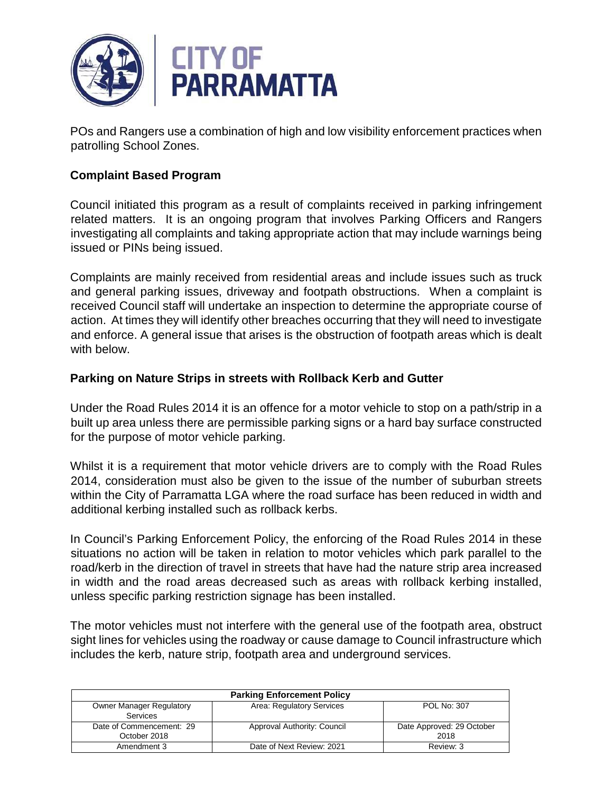

POs and Rangers use a combination of high and low visibility enforcement practices when patrolling School Zones.

## **Complaint Based Program**

Council initiated this program as a result of complaints received in parking infringement related matters. It is an ongoing program that involves Parking Officers and Rangers investigating all complaints and taking appropriate action that may include warnings being issued or PINs being issued.

Complaints are mainly received from residential areas and include issues such as truck and general parking issues, driveway and footpath obstructions. When a complaint is received Council staff will undertake an inspection to determine the appropriate course of action. At times they will identify other breaches occurring that they will need to investigate and enforce. A general issue that arises is the obstruction of footpath areas which is dealt with below.

### **Parking on Nature Strips in streets with Rollback Kerb and Gutter**

Under the Road Rules 2014 it is an offence for a motor vehicle to stop on a path/strip in a built up area unless there are permissible parking signs or a hard bay surface constructed for the purpose of motor vehicle parking.

Whilst it is a requirement that motor vehicle drivers are to comply with the Road Rules 2014, consideration must also be given to the issue of the number of suburban streets within the City of Parramatta LGA where the road surface has been reduced in width and additional kerbing installed such as rollback kerbs.

In Council's Parking Enforcement Policy, the enforcing of the Road Rules 2014 in these situations no action will be taken in relation to motor vehicles which park parallel to the road/kerb in the direction of travel in streets that have had the nature strip area increased in width and the road areas decreased such as areas with rollback kerbing installed, unless specific parking restriction signage has been installed.

The motor vehicles must not interfere with the general use of the footpath area, obstruct sight lines for vehicles using the roadway or cause damage to Council infrastructure which includes the kerb, nature strip, footpath area and underground services.

| <b>Parking Enforcement Policy</b> |                             |                           |  |
|-----------------------------------|-----------------------------|---------------------------|--|
| <b>Owner Manager Regulatory</b>   | Area: Regulatory Services   | POL No: 307               |  |
| Services                          |                             |                           |  |
| Date of Commencement: 29          | Approval Authority: Council | Date Approved: 29 October |  |
| October 2018                      |                             | 2018                      |  |
| Amendment 3                       | Date of Next Review: 2021   | Review: 3                 |  |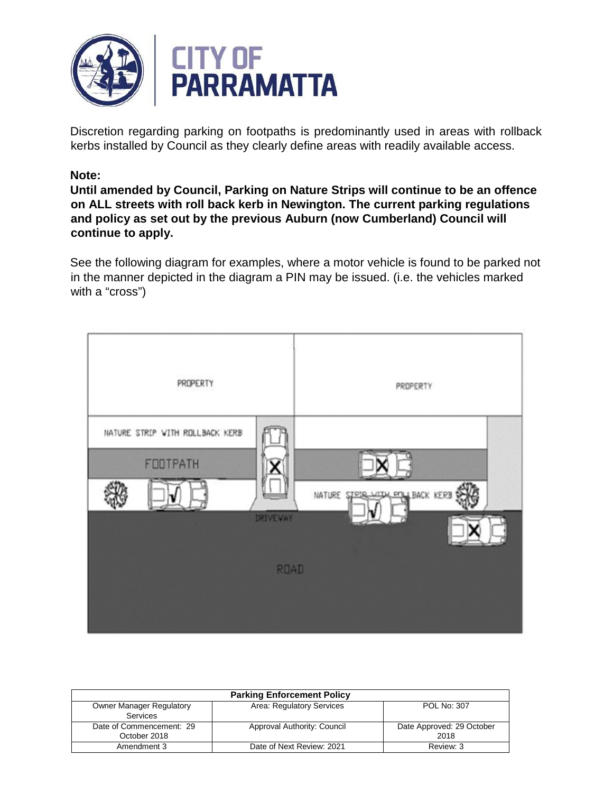

Discretion regarding parking on footpaths is predominantly used in areas with rollback kerbs installed by Council as they clearly define areas with readily available access.

### **Note:**

**Until amended by Council, Parking on Nature Strips will continue to be an offence on ALL streets with roll back kerb in Newington. The current parking regulations and policy as set out by the previous Auburn (now Cumberland) Council will continue to apply.**

See the following diagram for examples, where a motor vehicle is found to be parked not in the manner depicted in the diagram a PIN may be issued. (i.e. the vehicles marked with a "cross")



| <b>Parking Enforcement Policy</b> |                             |                           |  |
|-----------------------------------|-----------------------------|---------------------------|--|
| <b>Owner Manager Regulatory</b>   | Area: Regulatory Services   | POL No: 307               |  |
| <b>Services</b>                   |                             |                           |  |
| Date of Commencement: 29          | Approval Authority: Council | Date Approved: 29 October |  |
| October 2018                      |                             | 2018                      |  |
| Amendment 3                       | Date of Next Review: 2021   | Review: 3                 |  |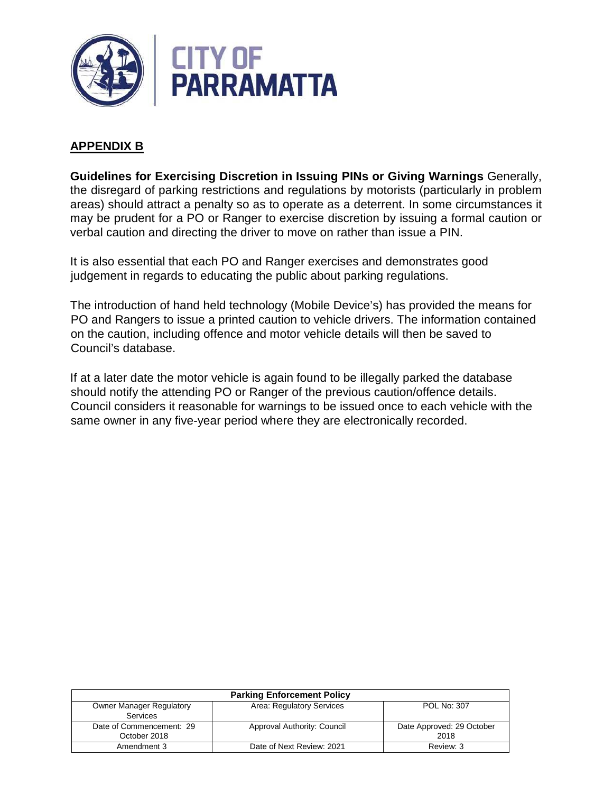

### **APPENDIX B**

**Guidelines for Exercising Discretion in Issuing PINs or Giving Warnings** Generally, the disregard of parking restrictions and regulations by motorists (particularly in problem areas) should attract a penalty so as to operate as a deterrent. In some circumstances it may be prudent for a PO or Ranger to exercise discretion by issuing a formal caution or verbal caution and directing the driver to move on rather than issue a PIN.

It is also essential that each PO and Ranger exercises and demonstrates good judgement in regards to educating the public about parking regulations.

The introduction of hand held technology (Mobile Device's) has provided the means for PO and Rangers to issue a printed caution to vehicle drivers. The information contained on the caution, including offence and motor vehicle details will then be saved to Council's database.

If at a later date the motor vehicle is again found to be illegally parked the database should notify the attending PO or Ranger of the previous caution/offence details. Council considers it reasonable for warnings to be issued once to each vehicle with the same owner in any five-year period where they are electronically recorded.

| <b>Parking Enforcement Policy</b>                  |                             |                                   |  |
|----------------------------------------------------|-----------------------------|-----------------------------------|--|
| <b>Owner Manager Regulatory</b><br><b>Services</b> | Area: Regulatory Services   | POL No: 307                       |  |
| Date of Commencement: 29<br>October 2018           | Approval Authority: Council | Date Approved: 29 October<br>2018 |  |
| Amendment 3                                        | Date of Next Review: 2021   | Review: 3                         |  |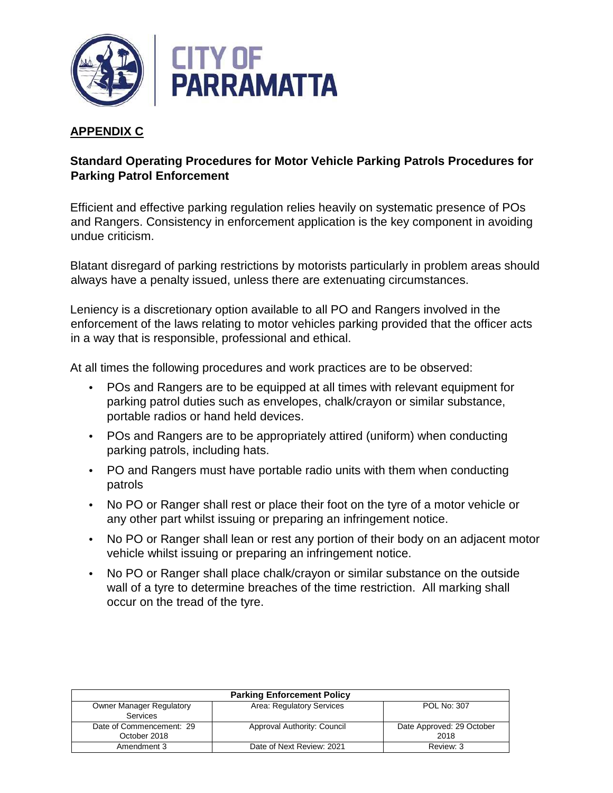

# **APPENDIX C**

# **Standard Operating Procedures for Motor Vehicle Parking Patrols Procedures for Parking Patrol Enforcement**

Efficient and effective parking regulation relies heavily on systematic presence of POs and Rangers. Consistency in enforcement application is the key component in avoiding undue criticism.

Blatant disregard of parking restrictions by motorists particularly in problem areas should always have a penalty issued, unless there are extenuating circumstances.

Leniency is a discretionary option available to all PO and Rangers involved in the enforcement of the laws relating to motor vehicles parking provided that the officer acts in a way that is responsible, professional and ethical.

At all times the following procedures and work practices are to be observed:

- POs and Rangers are to be equipped at all times with relevant equipment for parking patrol duties such as envelopes, chalk/crayon or similar substance, portable radios or hand held devices.
- POs and Rangers are to be appropriately attired (uniform) when conducting parking patrols, including hats.
- PO and Rangers must have portable radio units with them when conducting patrols
- No PO or Ranger shall rest or place their foot on the tyre of a motor vehicle or any other part whilst issuing or preparing an infringement notice.
- No PO or Ranger shall lean or rest any portion of their body on an adjacent motor vehicle whilst issuing or preparing an infringement notice.
- No PO or Ranger shall place chalk/crayon or similar substance on the outside wall of a tyre to determine breaches of the time restriction. All marking shall occur on the tread of the tyre.

| <b>Parking Enforcement Policy</b> |                             |                           |  |
|-----------------------------------|-----------------------------|---------------------------|--|
| <b>Owner Manager Regulatory</b>   | Area: Regulatory Services   | POL No: 307               |  |
| Services                          |                             |                           |  |
| Date of Commencement: 29          | Approval Authority: Council | Date Approved: 29 October |  |
| October 2018                      |                             | 2018                      |  |
| Amendment 3                       | Date of Next Review: 2021   | Review: 3                 |  |